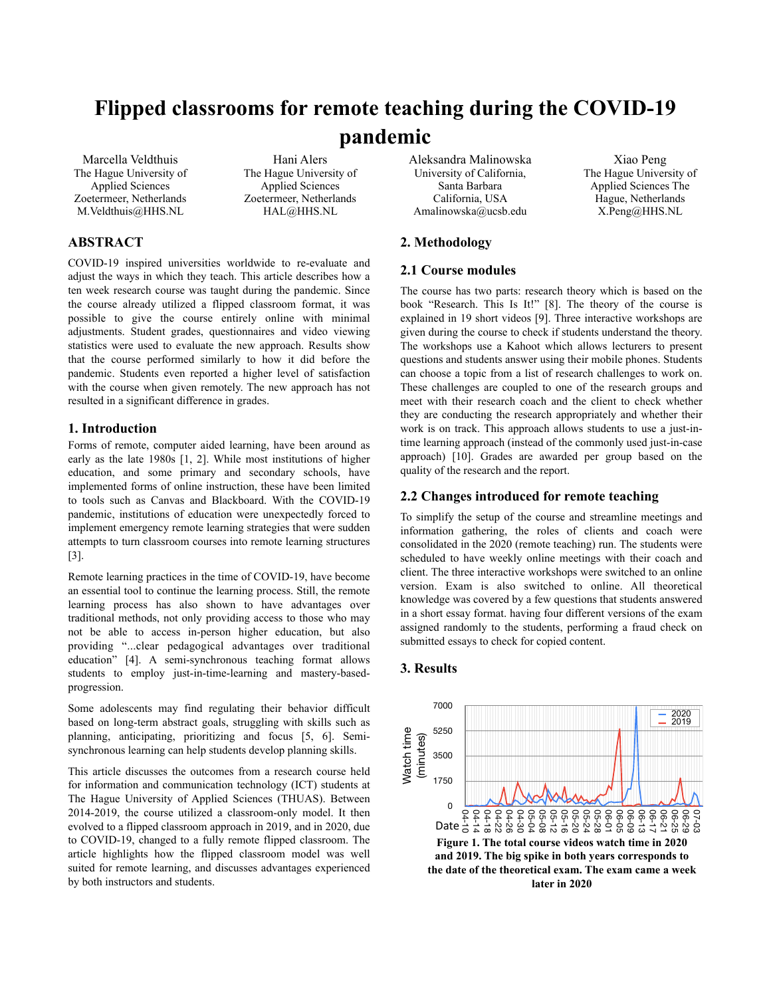# **Flipped classrooms for remote teaching during the COVID-19 pandemic**

Hani Alers The Hague University of Applied Sciences Zoetermeer, Netherlands HAL@HHS.NL

Marcella Veldthuis The Hague University of Applied Sciences Zoetermeer, Netherlands M.Veldthuis@HHS.NL

# **ABSTRACT**

COVID-19 inspired universities worldwide to re-evaluate and adjust the ways in which they teach. This article describes how a ten week research course was taught during the pandemic. Since the course already utilized a flipped classroom format, it was possible to give the course entirely online with minimal adjustments. Student grades, questionnaires and video viewing statistics were used to evaluate the new approach. Results show that the course performed similarly to how it did before the pandemic. Students even reported a higher level of satisfaction with the course when given remotely. The new approach has not resulted in a significant difference in grades.

#### **1. Introduction**

Forms of remote, computer aided learning, have been around as early as the late 1980s [1, 2]. While most institutions of higher education, and some primary and secondary schools, have implemented forms of online instruction, these have been limited to tools such as Canvas and Blackboard. With the COVID-19 pandemic, institutions of education were unexpectedly forced to implement emergency remote learning strategies that were sudden attempts to turn classroom courses into remote learning structures [3].

Remote learning practices in the time of COVID-19, have become an essential tool to continue the learning process. Still, the remote learning process has also shown to have advantages over traditional methods, not only providing access to those who may not be able to access in-person higher education, but also providing "...clear pedagogical advantages over traditional education" [4]. A semi-synchronous teaching format allows students to employ just-in-time-learning and mastery-basedprogression.

Some adolescents may find regulating their behavior difficult based on long-term abstract goals, struggling with skills such as planning, anticipating, prioritizing and focus [5, 6]. Semisynchronous learning can help students develop planning skills.

This article discusses the outcomes from a research course held for information and communication technology (ICT) students at The Hague University of Applied Sciences (THUAS). Between 2014-2019, the course utilized a classroom-only model. It then evolved to a flipped classroom approach in 2019, and in 2020, due to COVID-19, changed to a fully remote flipped classroom. The article highlights how the flipped classroom model was well suited for remote learning, and discusses advantages experienced by both instructors and students.

Aleksandra Malinowska University of California, Santa Barbara California, USA Amalinowska@ucsb.edu

Xiao Peng The Hague University of Applied Sciences The Hague, Netherlands X.Peng@HHS.NL

# **2. Methodology**

### **2.1 Course modules**

The course has two parts: research theory which is based on the book "Research. This Is It!" [8]. The theory of the course is explained in 19 short videos [9]. Three interactive workshops are given during the course to check if students understand the theory. The workshops use a Kahoot which allows lecturers to present questions and students answer using their mobile phones. Students can choose a topic from a list of research challenges to work on. These challenges are coupled to one of the research groups and meet with their research coach and the client to check whether they are conducting the research appropriately and whether their work is on track. This approach allows students to use a just-intime learning approach (instead of the commonly used just-in-case approach) [10]. Grades are awarded per group based on the quality of the research and the report.

#### **2.2 Changes introduced for remote teaching**

To simplify the setup of the course and streamline meetings and information gathering, the roles of clients and coach were consolidated in the 2020 (remote teaching) run. The students were scheduled to have weekly online meetings with their coach and client. The three interactive workshops were switched to an online version. Exam is also switched to online. All theoretical knowledge was covered by a few questions that students answered in a short essay format. having four different versions of the exam assigned randomly to the students, performing a fraud check on submitted essays to check for copied content.

# **3. Results**